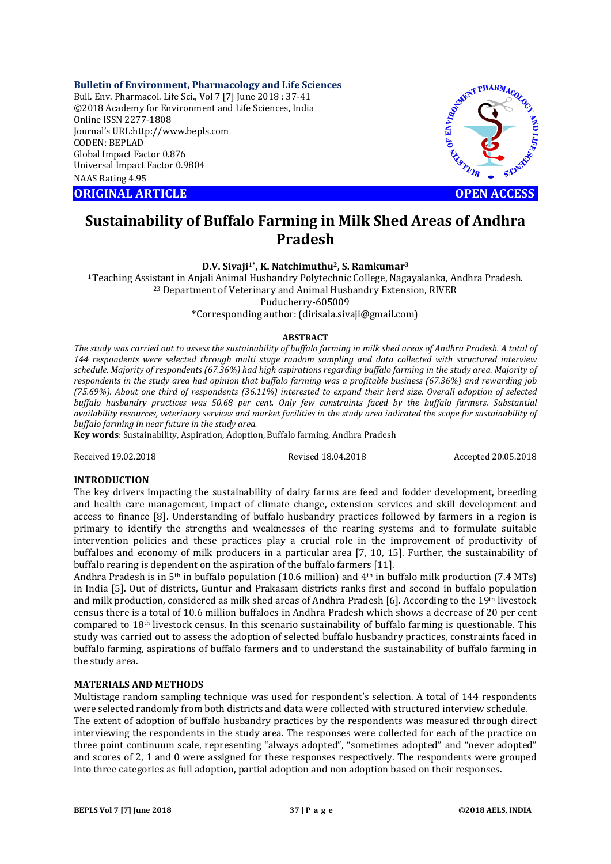# **Bulletin of Environment, Pharmacology and Life Sciences**

Bull. Env. Pharmacol. Life Sci., Vol 7 [7] June 2018 : 37-41 ©2018 Academy for Environment and Life Sciences, India Online ISSN 2277-1808 Journal's URL:http://www.bepls.com CODEN: BEPLAD Global Impact Factor 0.876 Universal Impact Factor 0.9804 NAAS Rating 4.95 CONTRACT ARTICLE<br>
ORIGINAL ARTICLE<br>
ORIGINAL ARTICLE<br>
ORIGINAL ARTICLE<br>
ORIGINAL ARTICLE<br>
ORIGINAL ARTICLE<br>
ORIGINAL ARTICLE<br>
OPEN ACCESS



# **Sustainability of Buffalo Farming in Milk Shed Areas of Andhra Pradesh**

**D.V. Sivaji1\*, K. Natchimuthu2, S. Ramkumar3**

<sup>1</sup> Teaching Assistant in Anjali Animal Husbandry Polytechnic College, Nagayalanka, Andhra Pradesh.<br><sup>23</sup> Department of Veterinary and Animal Husbandry Extension, RIVER Puducherry-605009

\*Corresponding author: (dirisala.sivaji@gmail.com)

# **ABSTRACT**

*The study was carried out to assess the sustainability of buffalo farming in milk shed areas of Andhra Pradesh. A total of 144 respondents were selected through multi stage random sampling and data collected with structured interview schedule. Majority of respondents (67.36%) had high aspirations regarding buffalo farming in the study area. Majority of respondents in the study area had opinion that buffalo farming was a profitable business (67.36%) and rewarding job (75.69%). About one third of respondents (36.11%) interested to expand their herd size. Overall adoption of selected buffalo husbandry practices was 50.68 per cent. Only few constraints faced by the buffalo farmers. Substantial availability resources, veterinary services and market facilities in the study area indicated the scope for sustainability of buffalo farming in near future in the study area.* 

**Key words**: Sustainability, Aspiration, Adoption, Buffalo farming, Andhra Pradesh

Received 19.02.2018 Revised 18.04.2018 Accepted 20.05.2018

# **INTRODUCTION**

The key drivers impacting the sustainability of dairy farms are feed and fodder development, breeding and health care management, impact of climate change, extension services and skill development and access to finance [8]. Understanding of buffalo husbandry practices followed by farmers in a region is primary to identify the strengths and weaknesses of the rearing systems and to formulate suitable intervention policies and these practices play a crucial role in the improvement of productivity of buffaloes and economy of milk producers in a particular area [7, 10, 15]. Further, the sustainability of buffalo rearing is dependent on the aspiration of the buffalo farmers [11].

Andhra Pradesh is in 5<sup>th</sup> in buffalo population (10.6 million) and 4<sup>th</sup> in buffalo milk production (7.4 MTs) in India [5]. Out of districts, Guntur and Prakasam districts ranks first and second in buffalo population and milk production, considered as milk shed areas of Andhra Pradesh [6]. According to the 19th livestock census there is a total of 10.6 million buffaloes in Andhra Pradesh which shows a decrease of 20 per cent compared to 18th livestock census. In this scenario sustainability of buffalo farming is questionable. This study was carried out to assess the adoption of selected buffalo husbandry practices, constraints faced in buffalo farming, aspirations of buffalo farmers and to understand the sustainability of buffalo farming in the study area.

# **MATERIALS AND METHODS**

Multistage random sampling technique was used for respondent's selection. A total of 144 respondents were selected randomly from both districts and data were collected with structured interview schedule. The extent of adoption of buffalo husbandry practices by the respondents was measured through direct interviewing the respondents in the study area. The responses were collected for each of the practice on three point continuum scale, representing "always adopted", "sometimes adopted" and "never adopted" and scores of 2, 1 and 0 were assigned for these responses respectively. The respondents were grouped into three categories as full adoption, partial adoption and non adoption based on their responses.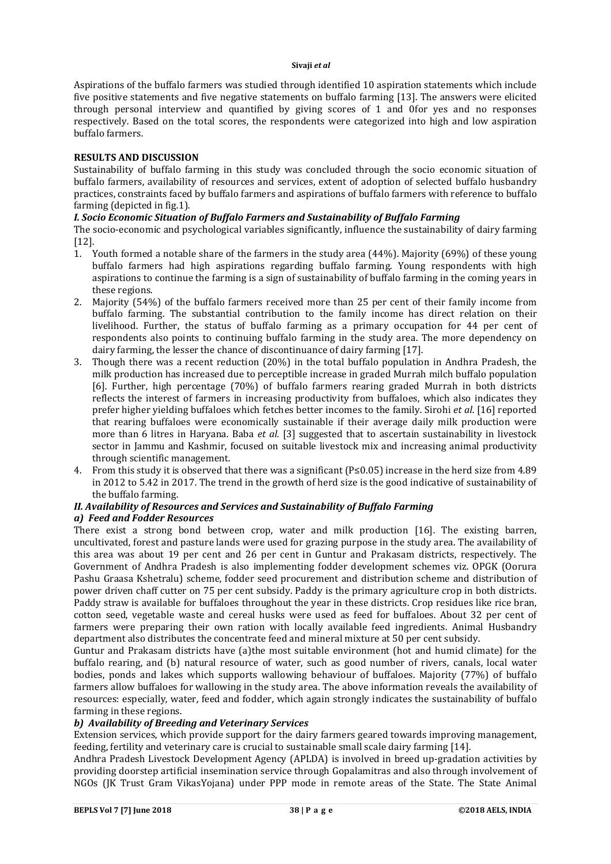#### **Sivaji** *et al*

Aspirations of the buffalo farmers was studied through identified 10 aspiration statements which include five positive statements and five negative statements on buffalo farming [13]. The answers were elicited through personal interview and quantified by giving scores of 1 and 0for yes and no responses respectively. Based on the total scores, the respondents were categorized into high and low aspiration buffalo farmers.

# **RESULTS AND DISCUSSION**

Sustainability of buffalo farming in this study was concluded through the socio economic situation of buffalo farmers, availability of resources and services, extent of adoption of selected buffalo husbandry practices, constraints faced by buffalo farmers and aspirations of buffalo farmers with reference to buffalo farming (depicted in fig.1).

# *I. Socio Economic Situation of Buffalo Farmers and Sustainability of Buffalo Farming*

The socio-economic and psychological variables significantly, influence the sustainability of dairy farming [12].

- 1. Youth formed a notable share of the farmers in the study area (44%). Majority (69%) of these young buffalo farmers had high aspirations regarding buffalo farming. Young respondents with high aspirations to continue the farming is a sign of sustainability of buffalo farming in the coming years in these regions.
- 2. Majority (54%) of the buffalo farmers received more than 25 per cent of their family income from buffalo farming. The substantial contribution to the family income has direct relation on their livelihood. Further, the status of buffalo farming as a primary occupation for 44 per cent of respondents also points to continuing buffalo farming in the study area. The more dependency on dairy farming, the lesser the chance of discontinuance of dairy farming [17].
- 3. Though there was a recent reduction (20%) in the total buffalo population in Andhra Pradesh, the milk production has increased due to perceptible increase in graded Murrah milch buffalo population [6]. Further, high percentage (70%) of buffalo farmers rearing graded Murrah in both districts reflects the interest of farmers in increasing productivity from buffaloes, which also indicates they prefer higher yielding buffaloes which fetches better incomes to the family. Sirohi *et al*. [16] reported that rearing buffaloes were economically sustainable if their average daily milk production were more than 6 litres in Haryana. Baba *et al.* [3] suggested that to ascertain sustainability in livestock sector in Jammu and Kashmir, focused on suitable livestock mix and increasing animal productivity through scientific management.
- 4. From this study it is observed that there was a significant (P≤0.05) increase in the herd size from 4.89 in 2012 to 5.42 in 2017. The trend in the growth of herd size is the good indicative of sustainability of the buffalo farming.

# *II. Availability of Resources and Services and Sustainability of Buffalo Farming*

# *a) Feed and Fodder Resources*

There exist a strong bond between crop, water and milk production [16]. The existing barren, uncultivated, forest and pasture lands were used for grazing purpose in the study area. The availability of this area was about 19 per cent and 26 per cent in Guntur and Prakasam districts, respectively. The Government of Andhra Pradesh is also implementing fodder development schemes viz. OPGK (Oorura Pashu Graasa Kshetralu) scheme, fodder seed procurement and distribution scheme and distribution of power driven chaff cutter on 75 per cent subsidy. Paddy is the primary agriculture crop in both districts. Paddy straw is available for buffaloes throughout the year in these districts. Crop residues like rice bran, cotton seed, vegetable waste and cereal husks were used as feed for buffaloes. About 32 per cent of farmers were preparing their own ration with locally available feed ingredients. Animal Husbandry department also distributes the concentrate feed and mineral mixture at 50 per cent subsidy.

Guntur and Prakasam districts have (a)the most suitable environment (hot and humid climate) for the buffalo rearing, and (b) natural resource of water, such as good number of rivers, canals, local water bodies, ponds and lakes which supports wallowing behaviour of buffaloes. Majority (77%) of buffalo farmers allow buffaloes for wallowing in the study area. The above information reveals the availability of resources: especially, water, feed and fodder, which again strongly indicates the sustainability of buffalo farming in these regions.

# *b) Availability of Breeding and Veterinary Services*

Extension services, which provide support for the dairy farmers geared towards improving management, feeding, fertility and veterinary care is crucial to sustainable small scale dairy farming [14].

Andhra Pradesh Livestock Development Agency (APLDA) is involved in breed up-gradation activities by providing doorstep artificial insemination service through Gopalamitras and also through involvement of NGOs (JK Trust Gram VikasYojana) under PPP mode in remote areas of the State. The State Animal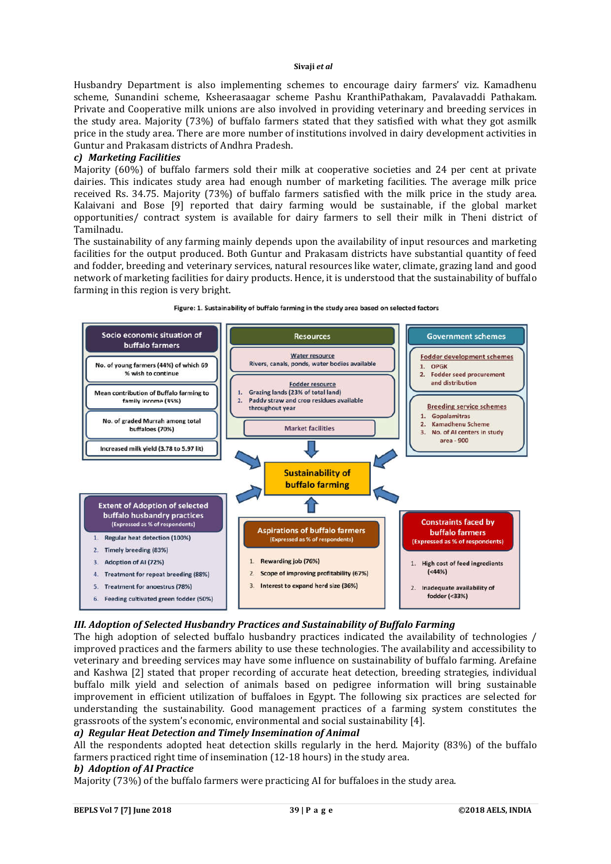#### **Sivaji** *et al*

Husbandry Department is also implementing schemes to encourage dairy farmers' viz. Kamadhenu scheme, Sunandini scheme, Ksheerasaagar scheme Pashu KranthiPathakam, Pavalavaddi Pathakam. Private and Cooperative milk unions are also involved in providing veterinary and breeding services in the study area. Majority (73%) of buffalo farmers stated that they satisfied with what they got asmilk price in the study area. There are more number of institutions involved in dairy development activities in Guntur and Prakasam districts of Andhra Pradesh.

# *c) Marketing Facilities*

Majority (60%) of buffalo farmers sold their milk at cooperative societies and 24 per cent at private dairies. This indicates study area had enough number of marketing facilities. The average milk price received Rs. 34.75. Majority (73%) of buffalo farmers satisfied with the milk price in the study area. Kalaivani and Bose [9] reported that dairy farming would be sustainable, if the global market opportunities/ contract system is available for dairy farmers to sell their milk in Theni district of Tamilnadu.

The sustainability of any farming mainly depends upon the availability of input resources and marketing facilities for the output produced. Both Guntur and Prakasam districts have substantial quantity of feed and fodder, breeding and veterinary services, natural resources like water, climate, grazing land and good network of marketing facilities for dairy products. Hence, it is understood that the sustainability of buffalo farming in this region is very bright.



#### Figure: 1. Sustainability of buffalo farming in the study area based on selected factors

# *III. Adoption of Selected Husbandry Practices and Sustainability of Buffalo Farming*

The high adoption of selected buffalo husbandry practices indicated the availability of technologies / improved practices and the farmers ability to use these technologies. The availability and accessibility to veterinary and breeding services may have some influence on sustainability of buffalo farming. Arefaine and Kashwa [2] stated that proper recording of accurate heat detection, breeding strategies, individual buffalo milk yield and selection of animals based on pedigree information will bring sustainable improvement in efficient utilization of buffaloes in Egypt. The following six practices are selected for understanding the sustainability. Good management practices of a farming system constitutes the grassroots of the system's economic, environmental and social sustainability [4].

# *a) Regular Heat Detection and Timely Insemination of Animal*

All the respondents adopted heat detection skills regularly in the herd. Majority (83%) of the buffalo farmers practiced right time of insemination (12-18 hours) in the study area.

# *b) Adoption of AI Practice*

Majority (73%) of the buffalo farmers were practicing AI for buffaloes in the study area.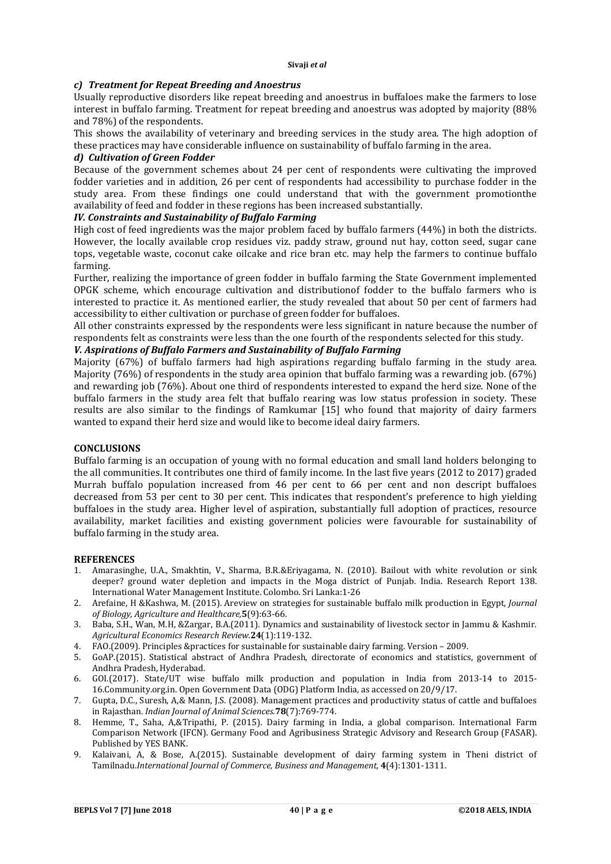# *c) Treatment for Repeat Breeding and Anoestrus*

Usually reproductive disorders like repeat breeding and anoestrus in buffaloes make the farmers to lose interest in buffalo farming. Treatment for repeat breeding and anoestrus was adopted by majority (88% and 78%) of the respondents.

This shows the availability of veterinary and breeding services in the study area. The high adoption of these practices may have considerable influence on sustainability of buffalo farming in the area.

# *d) Cultivation of Green Fodder*

Because of the government schemes about 24 per cent of respondents were cultivating the improved fodder varieties and in addition, 26 per cent of respondents had accessibility to purchase fodder in the study area. From these findings one could understand that with the government promotionthe availability of feed and fodder in these regions has been increased substantially.

# *IV. Constraints and Sustainability of Buffalo Farming*

High cost of feed ingredients was the major problem faced by buffalo farmers (44%) in both the districts. However, the locally available crop residues viz. paddy straw, ground nut hay, cotton seed, sugar cane tops, vegetable waste, coconut cake oilcake and rice bran etc. may help the farmers to continue buffalo farming.

Further, realizing the importance of green fodder in buffalo farming the State Government implemented OPGK scheme, which encourage cultivation and distributionof fodder to the buffalo farmers who is interested to practice it. As mentioned earlier, the study revealed that about 50 per cent of farmers had accessibility to either cultivation or purchase of green fodder for buffaloes.

All other constraints expressed by the respondents were less significant in nature because the number of respondents felt as constraints were less than the one fourth of the respondents selected for this study.

# *V. Aspirations of Buffalo Farmers and Sustainability of Buffalo Farming*

Majority (67%) of buffalo farmers had high aspirations regarding buffalo farming in the study area. Majority (76%) of respondents in the study area opinion that buffalo farming was a rewarding job. (67%) and rewarding job (76%). About one third of respondents interested to expand the herd size. None of the buffalo farmers in the study area felt that buffalo rearing was low status profession in society. These results are also similar to the findings of Ramkumar [15] who found that majority of dairy farmers wanted to expand their herd size and would like to become ideal dairy farmers.

# **CONCLUSIONS**

Buffalo farming is an occupation of young with no formal education and small land holders belonging to the all communities. It contributes one third of family income. In the last five years (2012 to 2017) graded Murrah buffalo population increased from 46 per cent to 66 per cent and non descript buffaloes decreased from 53 per cent to 30 per cent. This indicates that respondent's preference to high yielding buffaloes in the study area. Higher level of aspiration, substantially full adoption of practices, resource availability, market facilities and existing government policies were favourable for sustainability of buffalo farming in the study area.

# **REFERENCES**

- 1. Amarasinghe, U.A., Smakhtin, V., Sharma, B.R.&Eriyagama, N. (2010). Bailout with white revolution or sink deeper? ground water depletion and impacts in the Moga district of Punjab. India. Research Report 138. International Water Management Institute. Colombo. Sri Lanka:1-26
- 2. Arefaine, H &Kashwa, M. (2015). Areview on strategies for sustainable buffalo milk production in Egypt, *Journal of Biology, Agriculture and Healthcare,***5**(9):63-66.
- 3. Baba, S.H., Wan, M.H, &Zargar, B.A.(2011). Dynamics and sustainability of livestock sector in Jammu & Kashmir. *Agricultural Economics Research Review.***24**(1):119-132.
- 4. FAO.(2009). Principles &practices for sustainable for sustainable dairy farming. Version 2009.
- 5. GoAP.(2015). Statistical abstract of Andhra Pradesh, directorate of economics and statistics, government of Andhra Pradesh, Hyderabad.
- 6. GOI.(2017). State/UT wise buffalo milk production and population in India from 2013-14 to 2015- 16.Community.org.in. Open Government Data (ODG) Platform India, as accessed on 20/9/17.
- 7. Gupta, D.C., Suresh, A,& Mann, J.S. (2008). Management practices and productivity status of cattle and buffaloes in Rajasthan. *Indian Journal of Animal Sciences.***78**(7):769-774.
- 8. Hemme, T., Saha, A,&Tripathi, P. (2015). Dairy farming in India, a global comparison. International Farm Comparison Network (IFCN). Germany Food and Agribusiness Strategic Advisory and Research Group (FASAR). Published by YES BANK.
- 9. Kalaivani, A, & Bose, A.(2015). Sustainable development of dairy farming system in Theni district of Tamilnadu.*International Journal of Commerce, Business and Management,* **4**(4):1301-1311.